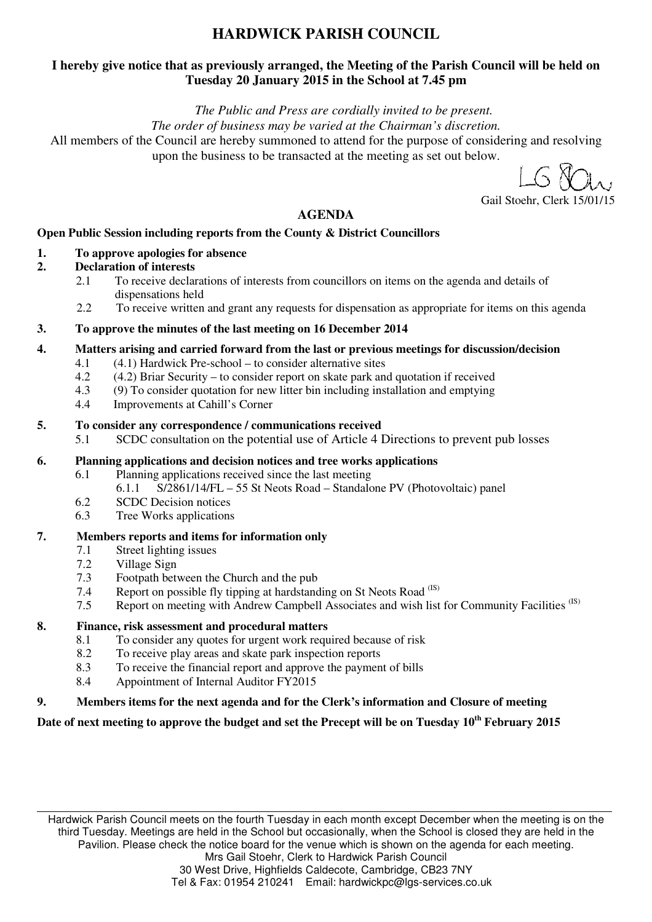# **HARDWICK PARISH COUNCIL**

### **I hereby give notice that as previously arranged, the Meeting of the Parish Council will be held on Tuesday 20 January 2015 in the School at 7.45 pm**

*The Public and Press are cordially invited to be present.* 

*The order of business may be varied at the Chairman's discretion.* 

All members of the Council are hereby summoned to attend for the purpose of considering and resolving upon the business to be transacted at the meeting as set out below.

Gail Stoehr, Clerk 15/01/15

### **AGENDA**

### **Open Public Session including reports from the County & District Councillors**

### **1. To approve apologies for absence**

#### **2. Declaration of interests**

- 2.1 To receive declarations of interests from councillors on items on the agenda and details of dispensations held
- 2.2 To receive written and grant any requests for dispensation as appropriate for items on this agenda

#### **3. To approve the minutes of the last meeting on 16 December 2014**

#### **4. Matters arising and carried forward from the last or previous meetings for discussion/decision**

- 4.1 (4.1) Hardwick Pre-school to consider alternative sites
- 4.2 (4.2) Briar Security to consider report on skate park and quotation if received
- 4.3 (9) To consider quotation for new litter bin including installation and emptying
- 4.4 Improvements at Cahill's Corner

#### **5. To consider any correspondence / communications received**

5.1 SCDC consultation on the potential use of Article 4 Directions to prevent pub losses

### **6. Planning applications and decision notices and tree works applications**

- 6.1 Planning applications received since the last meeting 6.1.1 S/2861/14/FL – 55 St Neots Road – Standalone PV (Photovoltaic) panel
- 6.2 SCDC Decision notices
- 6.3 Tree Works applications

#### **7. Members reports and items for information only**

- 7.1 Street lighting issues
- 7.2 Village Sign
- 7.3 Footpath between the Church and the pub
- 7.4 Report on possible fly tipping at hardstanding on St Neots Road<sup>(IS)</sup><br>7.5 Report on meeting with Andrew Campbell Associates and wish list
- Report on meeting with Andrew Campbell Associates and wish list for Community Facilities<sup>(IS)</sup>

#### **8. Finance, risk assessment and procedural matters**

- 8.1 To consider any quotes for urgent work required because of risk
- 8.2 To receive play areas and skate park inspection reports
- 8.3 To receive the financial report and approve the payment of bills
- 8.4 Appointment of Internal Auditor FY2015

### **9. Members items for the next agenda and for the Clerk's information and Closure of meeting**

### **Date of next meeting to approve the budget and set the Precept will be on Tuesday 10th February 2015**

Hardwick Parish Council meets on the fourth Tuesday in each month except December when the meeting is on the third Tuesday. Meetings are held in the School but occasionally, when the School is closed they are held in the Pavilion. Please check the notice board for the venue which is shown on the agenda for each meeting. Mrs Gail Stoehr, Clerk to Hardwick Parish Council 30 West Drive, Highfields Caldecote, Cambridge, CB23 7NY

Tel & Fax: 01954 210241 Email: hardwickpc@lgs-services.co.uk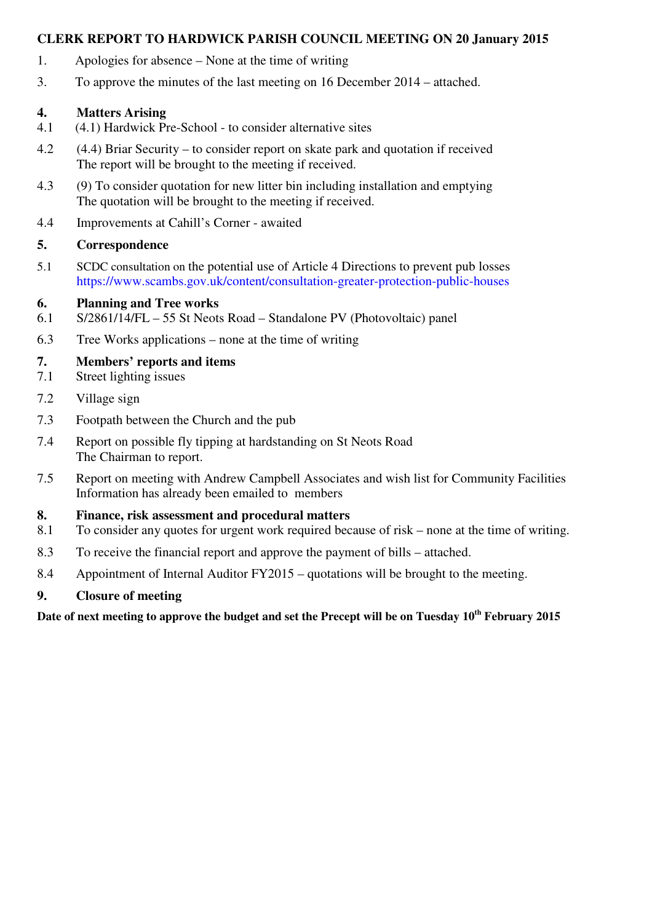### **CLERK REPORT TO HARDWICK PARISH COUNCIL MEETING ON 20 January 2015**

- 1. Apologies for absence None at the time of writing
- 3. To approve the minutes of the last meeting on 16 December 2014 attached.

### **4. Matters Arising**

- 4.1 (4.1) Hardwick Pre-School to consider alternative sites
- 4.2 (4.4) Briar Security to consider report on skate park and quotation if received The report will be brought to the meeting if received.
- 4.3 (9) To consider quotation for new litter bin including installation and emptying The quotation will be brought to the meeting if received.
- 4.4 Improvements at Cahill's Corner awaited

### **5. Correspondence**

5.1 SCDC consultation on the potential use of Article 4 Directions to prevent pub losses https://www.scambs.gov.uk/content/consultation-greater-protection-public-houses

### **6. Planning and Tree works**

- 6.1 S/2861/14/FL 55 St Neots Road Standalone PV (Photovoltaic) panel
- 6.3 Tree Works applications none at the time of writing

# **7. Members' reports and items**

- 7.1 Street lighting issues
- 7.2 Village sign
- 7.3 Footpath between the Church and the pub
- 7.4 Report on possible fly tipping at hardstanding on St Neots Road The Chairman to report.
- 7.5 Report on meeting with Andrew Campbell Associates and wish list for Community Facilities Information has already been emailed to members

# **8. Finance, risk assessment and procedural matters**

- 8.1 To consider any quotes for urgent work required because of risk none at the time of writing.
- 8.3 To receive the financial report and approve the payment of bills attached.
- 8.4 Appointment of Internal Auditor FY2015 quotations will be brought to the meeting.

# **9. Closure of meeting**

# **Date of next meeting to approve the budget and set the Precept will be on Tuesday 10th February 2015**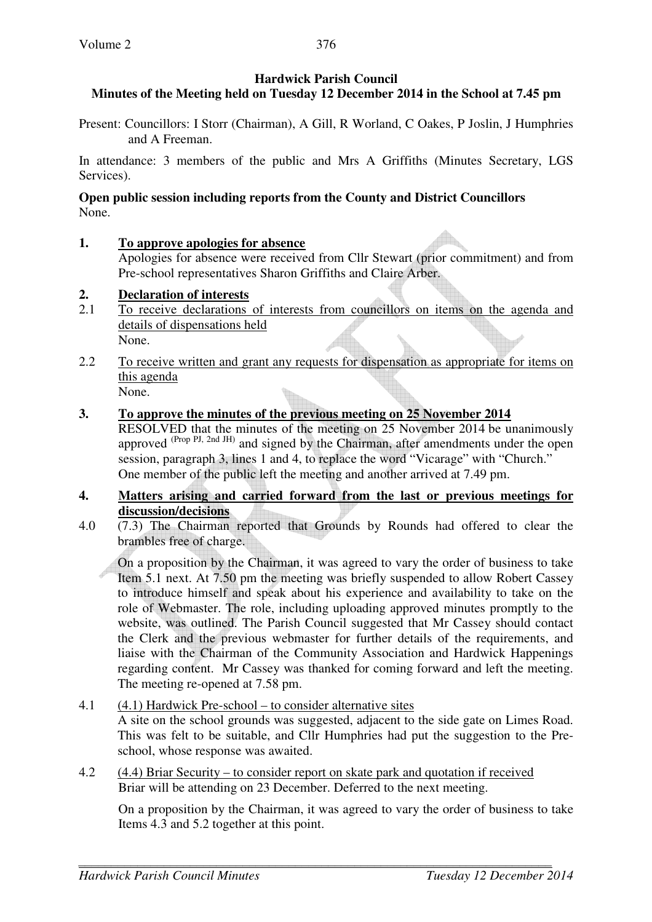### **Hardwick Parish Council**

## **Minutes of the Meeting held on Tuesday 12 December 2014 in the School at 7.45 pm**

Present: Councillors: I Storr (Chairman), A Gill, R Worland, C Oakes, P Joslin, J Humphries and A Freeman.

In attendance: 3 members of the public and Mrs A Griffiths (Minutes Secretary, LGS Services).

### **Open public session including reports from the County and District Councillors**  None.

### **1. To approve apologies for absence**

Apologies for absence were received from Cllr Stewart (prior commitment) and from Pre-school representatives Sharon Griffiths and Claire Arber.

### **2. Declaration of interests**

- 2.1 To receive declarations of interests from councillors on items on the agenda and details of dispensations held None.
- 2.2 To receive written and grant any requests for dispensation as appropriate for items on this agenda None.

### **3. To approve the minutes of the previous meeting on 25 November 2014**

RESOLVED that the minutes of the meeting on 25 November 2014 be unanimously approved (Prop PJ, 2nd JH) and signed by the Chairman, after amendments under the open session, paragraph 3, lines 1 and 4, to replace the word "Vicarage" with "Church." One member of the public left the meeting and another arrived at 7.49 pm.

### **4. Matters arising and carried forward from the last or previous meetings for discussion/decisions**

4.0 (7.3) The Chairman reported that Grounds by Rounds had offered to clear the brambles free of charge.

 On a proposition by the Chairman, it was agreed to vary the order of business to take Item 5.1 next. At 7.50 pm the meeting was briefly suspended to allow Robert Cassey to introduce himself and speak about his experience and availability to take on the role of Webmaster. The role, including uploading approved minutes promptly to the website, was outlined. The Parish Council suggested that Mr Cassey should contact the Clerk and the previous webmaster for further details of the requirements, and liaise with the Chairman of the Community Association and Hardwick Happenings regarding content. Mr Cassey was thanked for coming forward and left the meeting. The meeting re-opened at 7.58 pm.

# 4.1 (4.1) Hardwick Pre-school – to consider alternative sites

 A site on the school grounds was suggested, adjacent to the side gate on Limes Road. This was felt to be suitable, and Cllr Humphries had put the suggestion to the Preschool, whose response was awaited.

4.2 (4.4) Briar Security – to consider report on skate park and quotation if received Briar will be attending on 23 December. Deferred to the next meeting.

On a proposition by the Chairman, it was agreed to vary the order of business to take Items 4.3 and 5.2 together at this point.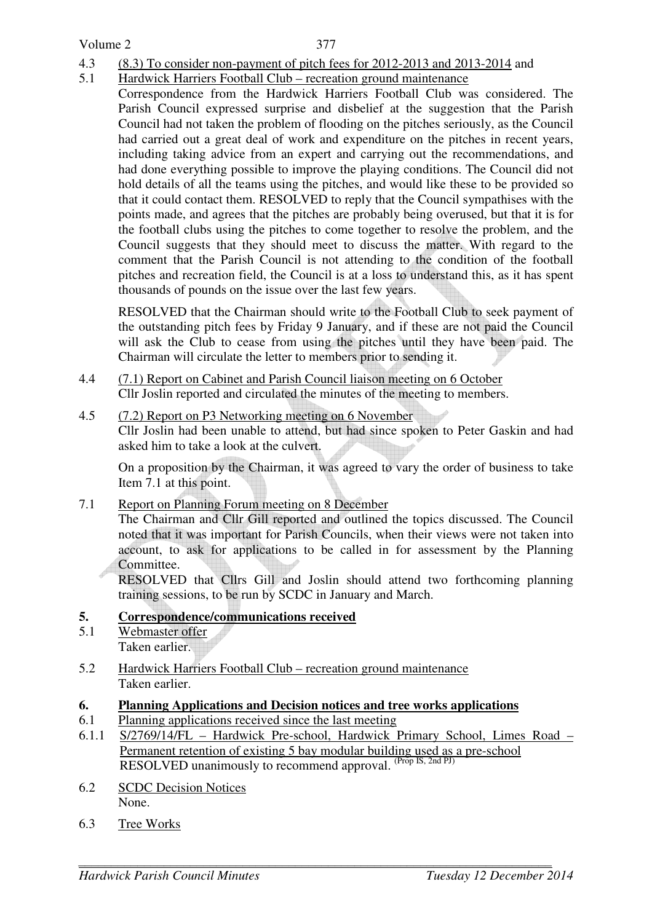Volume 2

- 4.3 (8.3) To consider non-payment of pitch fees for 2012-2013 and 2013-2014 and
- 5.1 Hardwick Harriers Football Club recreation ground maintenance
- Correspondence from the Hardwick Harriers Football Club was considered. The Parish Council expressed surprise and disbelief at the suggestion that the Parish Council had not taken the problem of flooding on the pitches seriously, as the Council had carried out a great deal of work and expenditure on the pitches in recent years, including taking advice from an expert and carrying out the recommendations, and had done everything possible to improve the playing conditions. The Council did not hold details of all the teams using the pitches, and would like these to be provided so that it could contact them. RESOLVED to reply that the Council sympathises with the points made, and agrees that the pitches are probably being overused, but that it is for the football clubs using the pitches to come together to resolve the problem, and the Council suggests that they should meet to discuss the matter. With regard to the comment that the Parish Council is not attending to the condition of the football pitches and recreation field, the Council is at a loss to understand this, as it has spent thousands of pounds on the issue over the last few years.

RESOLVED that the Chairman should write to the Football Club to seek payment of the outstanding pitch fees by Friday 9 January, and if these are not paid the Council will ask the Club to cease from using the pitches until they have been paid. The Chairman will circulate the letter to members prior to sending it.

- 4.4 (7.1) Report on Cabinet and Parish Council liaison meeting on 6 October Cllr Joslin reported and circulated the minutes of the meeting to members.
- 4.5 (7.2) Report on P3 Networking meeting on 6 November Cllr Joslin had been unable to attend, but had since spoken to Peter Gaskin and had asked him to take a look at the culvert.

 On a proposition by the Chairman, it was agreed to vary the order of business to take Item 7.1 at this point.

7.1 Report on Planning Forum meeting on 8 December

 The Chairman and Cllr Gill reported and outlined the topics discussed. The Council noted that it was important for Parish Councils, when their views were not taken into account, to ask for applications to be called in for assessment by the Planning Committee.

 RESOLVED that Cllrs Gill and Joslin should attend two forthcoming planning training sessions, to be run by SCDC in January and March.

# **5. Correspondence/communications received**

- 5.1 Webmaster offer Taken earlier.
- 5.2 Hardwick Harriers Football Club recreation ground maintenance Taken earlier.

# **6. Planning Applications and Decision notices and tree works applications**

- 6.1 Planning applications received since the last meeting
- 6.1.1 S/2769/14/FL Hardwick Pre-school, Hardwick Primary School, Limes Road Permanent retention of existing 5 bay modular building used as a pre-school RESOLVED unanimously to recommend approval. (Prop IS, 2nd PJ)
- 6.2 SCDC Decision Notices None.
- 6.3 Tree Works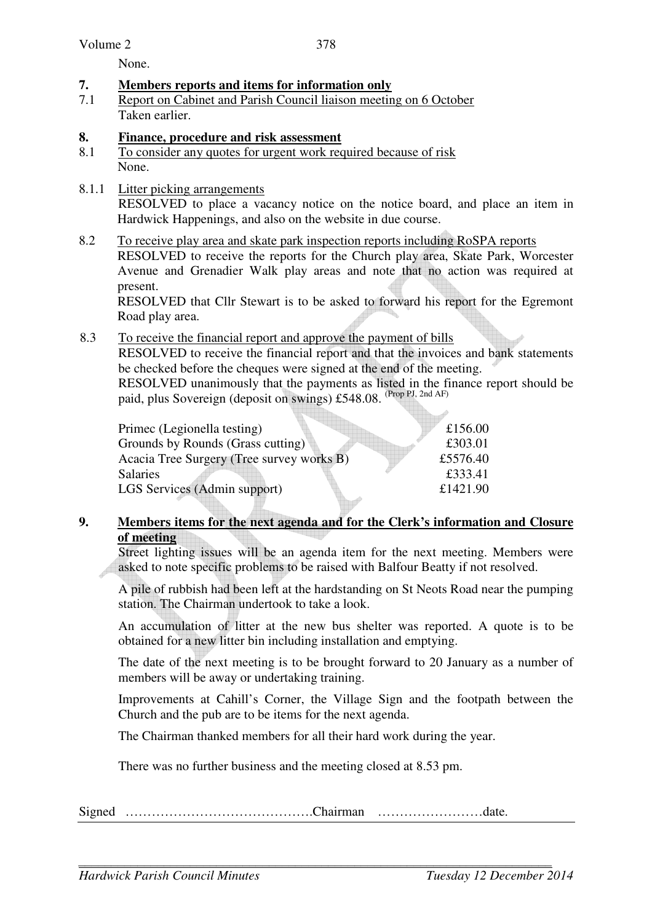None.

### **7. Members reports and items for information only**

7.1 Report on Cabinet and Parish Council liaison meeting on 6 October Taken earlier.

# **8.** Finance, procedure and risk assessment<br>8.1 To consider any quotes for urgent work req

- To consider any quotes for urgent work required because of risk None.
- 8.1.1 Litter picking arrangements RESOLVED to place a vacancy notice on the notice board, and place an item in Hardwick Happenings, and also on the website in due course.
- 8.2 To receive play area and skate park inspection reports including RoSPA reports RESOLVED to receive the reports for the Church play area, Skate Park, Worcester Avenue and Grenadier Walk play areas and note that no action was required at present.

RESOLVED that Cllr Stewart is to be asked to forward his report for the Egremont Road play area.

8.3 To receive the financial report and approve the payment of bills RESOLVED to receive the financial report and that the invoices and bank statements be checked before the cheques were signed at the end of the meeting. RESOLVED unanimously that the payments as listed in the finance report should be

paid, plus Sovereign (deposit on swings) £548.08. (Prop PJ, 2nd AF)

| Primec (Legionella testing)               | £156.00  |
|-------------------------------------------|----------|
| Grounds by Rounds (Grass cutting)         | £303.01  |
| Acacia Tree Surgery (Tree survey works B) | £5576.40 |
| <b>Salaries</b>                           | £333.41  |
| LGS Services (Admin support)              | £1421.90 |
|                                           |          |

### **9. Members items for the next agenda and for the Clerk's information and Closure of meeting**

Street lighting issues will be an agenda item for the next meeting. Members were asked to note specific problems to be raised with Balfour Beatty if not resolved.

A pile of rubbish had been left at the hardstanding on St Neots Road near the pumping station. The Chairman undertook to take a look.

An accumulation of litter at the new bus shelter was reported. A quote is to be obtained for a new litter bin including installation and emptying.

The date of the next meeting is to be brought forward to 20 January as a number of members will be away or undertaking training.

Improvements at Cahill's Corner, the Village Sign and the footpath between the Church and the pub are to be items for the next agenda.

The Chairman thanked members for all their hard work during the year.

There was no further business and the meeting closed at 8.53 pm.

Signed …………………………………….Chairman ……………………date.